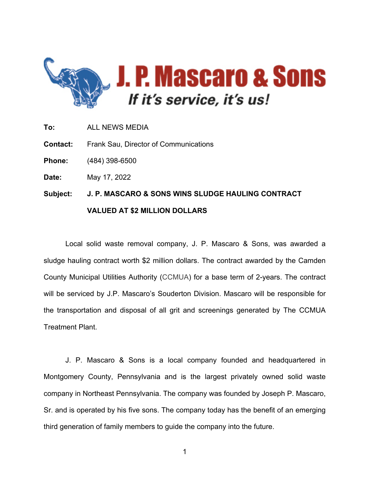

- **To:** ALL NEWS MEDIA
- **Contact:** Frank Sau, Director of Communications

**Phone:** (484) 398-6500

**Date:** May 17, 2022

## **Subject: J. P. MASCARO & SONS WINS SLUDGE HAULING CONTRACT VALUED AT \$2 MILLION DOLLARS**

Local solid waste removal company, J. P. Mascaro & Sons, was awarded a sludge hauling contract worth \$2 million dollars. The contract awarded by the Camden County Municipal Utilities Authority (CCMUA) for a base term of 2-years. The contract will be serviced by J.P. Mascaro's Souderton Division. Mascaro will be responsible for the transportation and disposal of all grit and screenings generated by The CCMUA Treatment Plant.

J. P. Mascaro & Sons is a local company founded and headquartered in Montgomery County, Pennsylvania and is the largest privately owned solid waste company in Northeast Pennsylvania. The company was founded by Joseph P. Mascaro, Sr. and is operated by his five sons. The company today has the benefit of an emerging third generation of family members to guide the company into the future.